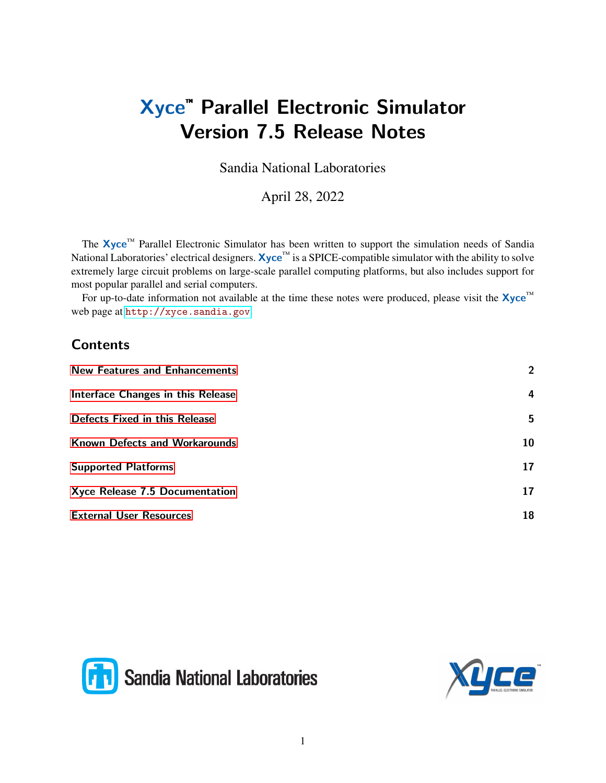# Xyce™ Parallel Electronic Simulator Version 7.5 Release Notes

Sandia National Laboratories

April 28, 2022

The Xyce™ Parallel Electronic Simulator has been written to support the simulation needs of Sandia National Laboratories' electrical designers. Xyce™ is a SPICE-compatible simulator with the ability to solve extremely large circuit problems on large-scale parallel computing platforms, but also includes support for most popular parallel and serial computers.

For up-to-date information not available at the time these notes were produced, please visit the  $\mathbf{Xyce}^{\mathbf{m}}$ web page at <http://xyce.sandia.gov>.

### **Contents**

| $\overline{2}$ |
|----------------|
| 4              |
| 5              |
| 10             |
| 17             |
| 17             |
| 18             |
|                |



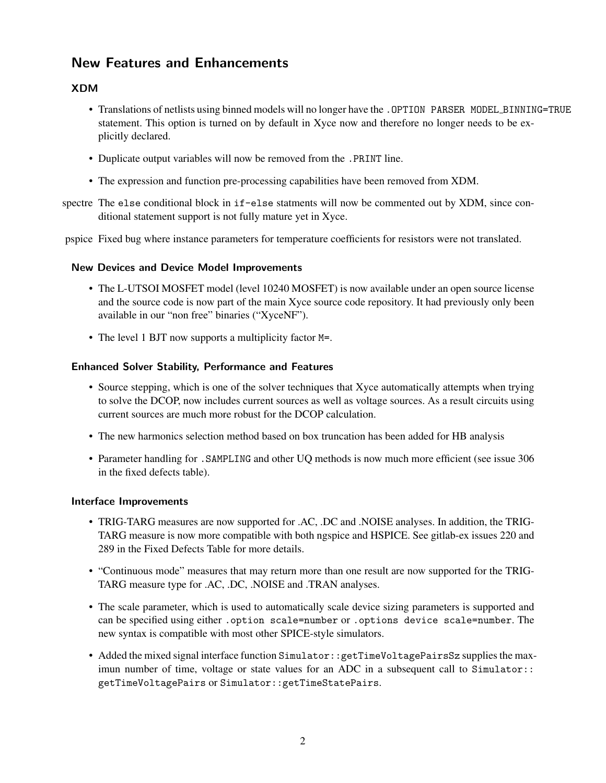### <span id="page-1-0"></span>New Features and Enhancements

#### XDM

- Translations of netlists using binned models will no longer have the . OPTION PARSER MODEL BINNING=TRUE statement. This option is turned on by default in Xyce now and therefore no longer needs to be explicitly declared.
- Duplicate output variables will now be removed from the .PRINT line.
- The expression and function pre-processing capabilities have been removed from XDM.
- spectre The else conditional block in if-else statments will now be commented out by XDM, since conditional statement support is not fully mature yet in Xyce.
- pspice Fixed bug where instance parameters for temperature coefficients for resistors were not translated.

#### New Devices and Device Model Improvements

- The L-UTSOI MOSFET model (level 10240 MOSFET) is now available under an open source license and the source code is now part of the main Xyce source code repository. It had previously only been available in our "non free" binaries ("XyceNF").
- The level 1 BJT now supports a multiplicity factor M=.

#### Enhanced Solver Stability, Performance and Features

- Source stepping, which is one of the solver techniques that Xyce automatically attempts when trying to solve the DCOP, now includes current sources as well as voltage sources. As a result circuits using current sources are much more robust for the DCOP calculation.
- The new harmonics selection method based on box truncation has been added for HB analysis
- Parameter handling for .SAMPLING and other UQ methods is now much more efficient (see issue 306 in the fixed defects table).

#### Interface Improvements

- TRIG-TARG measures are now supported for .AC, .DC and .NOISE analyses. In addition, the TRIG-TARG measure is now more compatible with both ngspice and HSPICE. See gitlab-ex issues 220 and 289 in the Fixed Defects Table for more details.
- "Continuous mode" measures that may return more than one result are now supported for the TRIG-TARG measure type for .AC, .DC, .NOISE and .TRAN analyses.
- The scale parameter, which is used to automatically scale device sizing parameters is supported and can be specified using either .option scale=number or .options device scale=number. The new syntax is compatible with most other SPICE-style simulators.
- Added the mixed signal interface function Simulator:: getTimeVoltagePairsSz supplies the maximun number of time, voltage or state values for an ADC in a subsequent call to Simulator:: getTimeVoltagePairs or Simulator::getTimeStatePairs.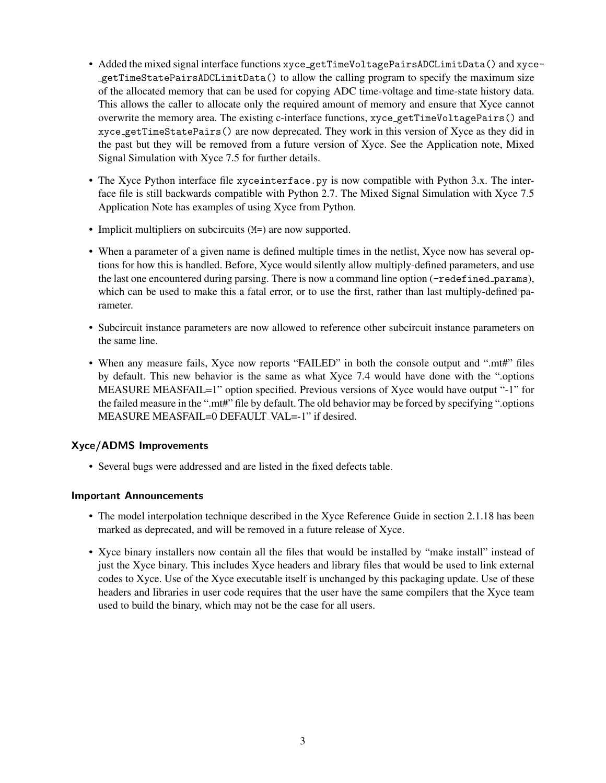- Added the mixed signal interface functions xyce getTimeVoltagePairsADCLimitData() and xycegetTimeStatePairsADCLimitData() to allow the calling program to specify the maximum size of the allocated memory that can be used for copying ADC time-voltage and time-state history data. This allows the caller to allocate only the required amount of memory and ensure that Xyce cannot overwrite the memory area. The existing c-interface functions, xyce getTimeVoltagePairs() and xyce getTimeStatePairs() are now deprecated. They work in this version of Xyce as they did in the past but they will be removed from a future version of Xyce. See the Application note, Mixed Signal Simulation with Xyce 7.5 for further details.
- The Xyce Python interface file xyceinterface.py is now compatible with Python 3.x. The interface file is still backwards compatible with Python 2.7. The Mixed Signal Simulation with Xyce 7.5 Application Note has examples of using Xyce from Python.
- Implicit multipliers on subcircuits (M=) are now supported.
- When a parameter of a given name is defined multiple times in the netlist, Xyce now has several options for how this is handled. Before, Xyce would silently allow multiply-defined parameters, and use the last one encountered during parsing. There is now a command line option (-redefined params), which can be used to make this a fatal error, or to use the first, rather than last multiply-defined parameter.
- Subcircuit instance parameters are now allowed to reference other subcircuit instance parameters on the same line.
- When any measure fails, Xyce now reports "FAILED" in both the console output and ".mt#" files by default. This new behavior is the same as what Xyce 7.4 would have done with the ".options MEASURE MEASFAIL=1" option specified. Previous versions of Xyce would have output "-1" for the failed measure in the ".mt#" file by default. The old behavior may be forced by specifying ".options MEASURE MEASFAIL=0 DEFAULT VAL=-1" if desired.

#### Xyce/ADMS Improvements

• Several bugs were addressed and are listed in the fixed defects table.

#### Important Announcements

- The model interpolation technique described in the Xyce Reference Guide in section 2.1.18 has been marked as deprecated, and will be removed in a future release of Xyce.
- Xyce binary installers now contain all the files that would be installed by "make install" instead of just the Xyce binary. This includes Xyce headers and library files that would be used to link external codes to Xyce. Use of the Xyce executable itself is unchanged by this packaging update. Use of these headers and libraries in user code requires that the user have the same compilers that the Xyce team used to build the binary, which may not be the case for all users.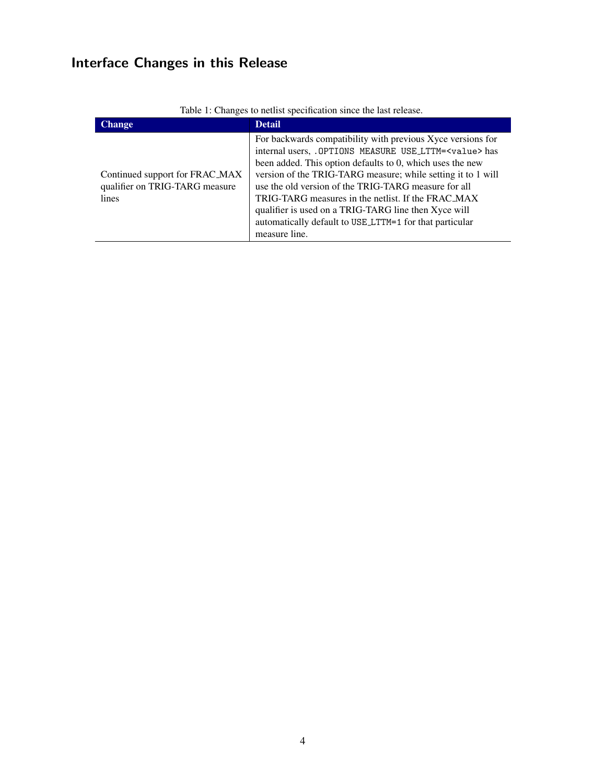# <span id="page-3-0"></span>Interface Changes in this Release

| racie il changes to hethot speemeation shiele the ract rele               |                                                                                                                                                                                                                                                                                                                                                                                                                                                                                                                      |
|---------------------------------------------------------------------------|----------------------------------------------------------------------------------------------------------------------------------------------------------------------------------------------------------------------------------------------------------------------------------------------------------------------------------------------------------------------------------------------------------------------------------------------------------------------------------------------------------------------|
| <b>Change</b>                                                             | <b>Detail</b>                                                                                                                                                                                                                                                                                                                                                                                                                                                                                                        |
| Continued support for FRAC_MAX<br>qualifier on TRIG-TARG measure<br>lines | For backwards compatibility with previous Xyce versions for<br>internal users, . OPTIONS MEASURE USE_LTTM= <value> has<br/>been added. This option defaults to 0, which uses the new<br/>version of the TRIG-TARG measure; while setting it to 1 will<br/>use the old version of the TRIG-TARG measure for all<br/>TRIG-TARG measures in the netlist. If the FRAC_MAX<br/>qualifier is used on a TRIG-TARG line then Xyce will<br/>automatically default to USE_LTTM=1 for that particular<br/>measure line.</value> |

Table 1: Changes to netlist specification since the last release.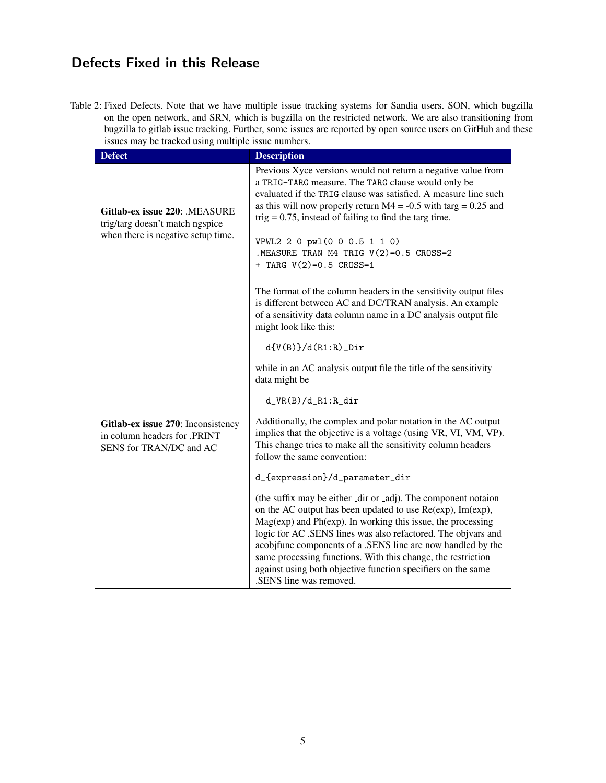# <span id="page-4-0"></span>Defects Fixed in this Release

Table 2: Fixed Defects. Note that we have multiple issue tracking systems for Sandia users. SON, which bugzilla on the open network, and SRN, which is bugzilla on the restricted network. We are also transitioning from bugzilla to gitlab issue tracking. Further, some issues are reported by open source users on GitHub and these issues may be tracked using multiple issue numbers.

| <b>Defect</b>                                                                                          | <b>Description</b>                                                                                                                                                                                                                                                                                                                                                                                                                                                                     |
|--------------------------------------------------------------------------------------------------------|----------------------------------------------------------------------------------------------------------------------------------------------------------------------------------------------------------------------------------------------------------------------------------------------------------------------------------------------------------------------------------------------------------------------------------------------------------------------------------------|
| Gitlab-ex issue 220: .MEASURE<br>trig/targ doesn't match ngspice<br>when there is negative setup time. | Previous Xyce versions would not return a negative value from<br>a TRIG-TARG measure. The TARG clause would only be<br>evaluated if the TRIG clause was satisfied. A measure line such<br>as this will now properly return $M4 = -0.5$ with targ = 0.25 and<br>trig = $0.75$ , instead of failing to find the targ time.<br>VPWL2 2 0 pwl(0 0 0.5 1 1 0)<br>.MEASURE TRAN M4 TRIG V(2)=0.5 CROSS=2<br>+ TARG $V(2)=0.5$ CROSS=1                                                        |
| Gitlab-ex issue 270: Inconsistency<br>in column headers for .PRINT<br>SENS for TRAN/DC and AC          | The format of the column headers in the sensitivity output files<br>is different between AC and DC/TRAN analysis. An example<br>of a sensitivity data column name in a DC analysis output file<br>might look like this:<br>$d(V(B))/d(R1:R)$ _Dir<br>while in an AC analysis output file the title of the sensitivity                                                                                                                                                                  |
|                                                                                                        | data might be<br>$d_VR(B)/d_R1:R_dir$                                                                                                                                                                                                                                                                                                                                                                                                                                                  |
|                                                                                                        | Additionally, the complex and polar notation in the AC output<br>implies that the objective is a voltage (using VR, VI, VM, VP).<br>This change tries to make all the sensitivity column headers<br>follow the same convention:                                                                                                                                                                                                                                                        |
|                                                                                                        | d_{expression}/d_parameter_dir                                                                                                                                                                                                                                                                                                                                                                                                                                                         |
|                                                                                                        | (the suffix may be either _dir or _adj). The component notaion<br>on the AC output has been updated to use Re(exp), Im(exp),<br>Mag(exp) and Ph(exp). In working this issue, the processing<br>logic for AC .SENS lines was also refactored. The objvars and<br>acobjfunc components of a .SENS line are now handled by the<br>same processing functions. With this change, the restriction<br>against using both objective function specifiers on the same<br>.SENS line was removed. |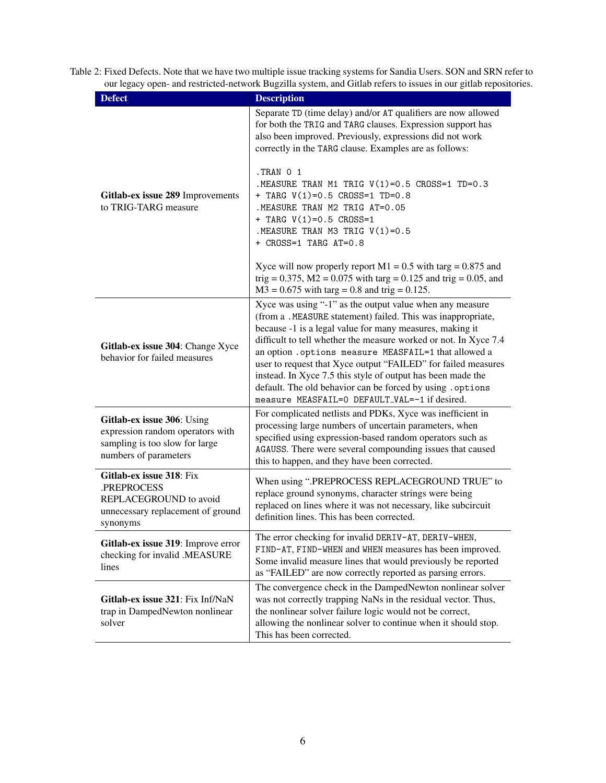| <b>Defect</b>                                                                                                             | <b>Description</b>                                                                                                                                                                                                                                                                                                                                                                                                                                                                                                                                              |
|---------------------------------------------------------------------------------------------------------------------------|-----------------------------------------------------------------------------------------------------------------------------------------------------------------------------------------------------------------------------------------------------------------------------------------------------------------------------------------------------------------------------------------------------------------------------------------------------------------------------------------------------------------------------------------------------------------|
| Gitlab-ex issue 289 Improvements<br>to TRIG-TARG measure                                                                  | Separate TD (time delay) and/or AT qualifiers are now allowed<br>for both the TRIG and TARG clauses. Expression support has<br>also been improved. Previously, expressions did not work<br>correctly in the TARG clause. Examples are as follows:                                                                                                                                                                                                                                                                                                               |
|                                                                                                                           | TRAN 0 1.<br>.MEASURE TRAN M1 TRIG V(1)=0.5 CROSS=1 TD=0.3<br>+ TARG V(1)=0.5 CROSS=1 TD=0.8<br>.MEASURE TRAN M2 TRIG AT=0.05<br>+ TARG $V(1)=0.5$ CROSS=1<br>. MEASURE TRAN M3 TRIG $V(1)=0.5$<br>+ CROSS=1 TARG AT=0.8                                                                                                                                                                                                                                                                                                                                        |
|                                                                                                                           | Xyce will now properly report $M1 = 0.5$ with targ = 0.875 and<br>trig = 0.375, $M2 = 0.075$ with targ = 0.125 and trig = 0.05, and<br>$M3 = 0.675$ with targ = 0.8 and trig = 0.125.                                                                                                                                                                                                                                                                                                                                                                           |
| Gitlab-ex issue 304: Change Xyce<br>behavior for failed measures                                                          | Xyce was using "-1" as the output value when any measure<br>(from a .MEASURE statement) failed. This was inappropriate,<br>because -1 is a legal value for many measures, making it<br>difficult to tell whether the measure worked or not. In Xyce 7.4<br>an option . options measure MEASFAIL=1 that allowed a<br>user to request that Xyce output "FAILED" for failed measures<br>instead. In Xyce 7.5 this style of output has been made the<br>default. The old behavior can be forced by using . options<br>measure MEASFAIL=0 DEFAULT_VAL=-1 if desired. |
| Gitlab-ex issue 306: Using<br>expression random operators with<br>sampling is too slow for large<br>numbers of parameters | For complicated netlists and PDKs, Xyce was inefficient in<br>processing large numbers of uncertain parameters, when<br>specified using expression-based random operators such as<br>AGAUSS. There were several compounding issues that caused<br>this to happen, and they have been corrected.                                                                                                                                                                                                                                                                 |
| Gitlab-ex issue 318: Fix<br>.PREPROCESS<br>REPLACEGROUND to avoid<br>unnecessary replacement of ground<br>synonyms        | When using ".PREPROCESS REPLACEGROUND TRUE" to<br>replace ground synonyms, character strings were being<br>replaced on lines where it was not necessary, like subcircuit<br>definition lines. This has been corrected.                                                                                                                                                                                                                                                                                                                                          |
| Gitlab-ex issue 319: Improve error<br>checking for invalid .MEASURE<br>lines                                              | The error checking for invalid DERIV-AT, DERIV-WHEN,<br>FIND-AT, FIND-WHEN and WHEN measures has been improved.<br>Some invalid measure lines that would previously be reported<br>as "FAILED" are now correctly reported as parsing errors.                                                                                                                                                                                                                                                                                                                    |
| Gitlab-ex issue 321: Fix Inf/NaN<br>trap in DampedNewton nonlinear<br>solver                                              | The convergence check in the DampedNewton nonlinear solver<br>was not correctly trapping NaNs in the residual vector. Thus,<br>the nonlinear solver failure logic would not be correct,<br>allowing the nonlinear solver to continue when it should stop.<br>This has been corrected.                                                                                                                                                                                                                                                                           |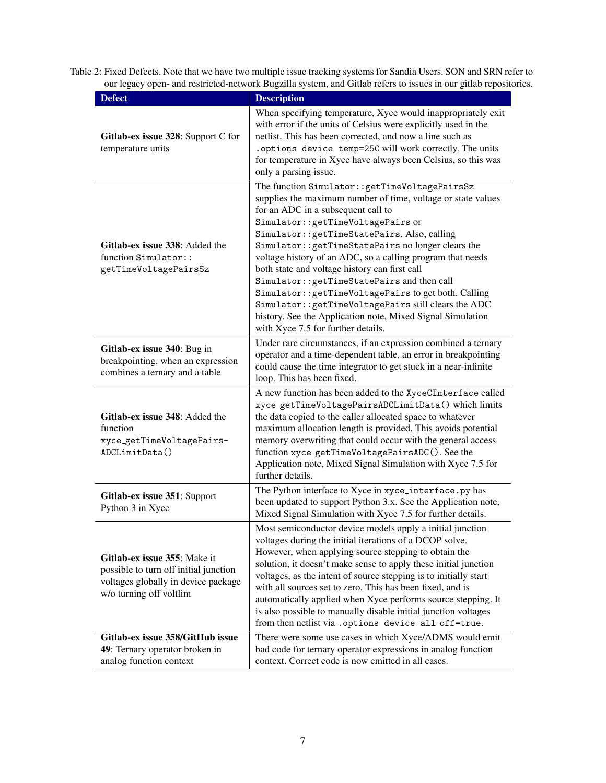| <b>Defect</b>                                                                                                                           | <b>Description</b>                                                                                                                                                                                                                                                                                                                                                                                                                                                                                                                                                                                                                                                                 |
|-----------------------------------------------------------------------------------------------------------------------------------------|------------------------------------------------------------------------------------------------------------------------------------------------------------------------------------------------------------------------------------------------------------------------------------------------------------------------------------------------------------------------------------------------------------------------------------------------------------------------------------------------------------------------------------------------------------------------------------------------------------------------------------------------------------------------------------|
| Gitlab-ex issue 328: Support C for<br>temperature units                                                                                 | When specifying temperature, Xyce would inappropriately exit<br>with error if the units of Celsius were explicitly used in the<br>netlist. This has been corrected, and now a line such as<br>. options device temp=25C will work correctly. The units<br>for temperature in Xyce have always been Celsius, so this was<br>only a parsing issue.                                                                                                                                                                                                                                                                                                                                   |
| Gitlab-ex issue 338: Added the<br>function Simulator::<br>getTimeVoltagePairsSz                                                         | The function Simulator:: getTimeVoltagePairsSz<br>supplies the maximum number of time, voltage or state values<br>for an ADC in a subsequent call to<br>Simulator:: getTimeVoltagePairs or<br>Simulator:: getTimeStatePairs. Also, calling<br>Simulator:: getTimeStatePairs no longer clears the<br>voltage history of an ADC, so a calling program that needs<br>both state and voltage history can first call<br>Simulator:: getTimeStatePairs and then call<br>Simulator:: getTimeVoltagePairs to get both. Calling<br>Simulator:: getTimeVoltagePairs still clears the ADC<br>history. See the Application note, Mixed Signal Simulation<br>with Xyce 7.5 for further details. |
| Gitlab-ex issue 340: Bug in<br>breakpointing, when an expression<br>combines a ternary and a table                                      | Under rare circumstances, if an expression combined a ternary<br>operator and a time-dependent table, an error in breakpointing<br>could cause the time integrator to get stuck in a near-infinite<br>loop. This has been fixed.                                                                                                                                                                                                                                                                                                                                                                                                                                                   |
| Gitlab-ex issue 348: Added the<br>function<br>xyce_getTimeVoltagePairs-<br>ADCLimitData()                                               | A new function has been added to the XyceCInterface called<br>xyce_getTimeVoltagePairsADCLimitData() which limits<br>the data copied to the caller allocated space to whatever<br>maximum allocation length is provided. This avoids potential<br>memory overwriting that could occur with the general access<br>function xyce_getTimeVoltagePairsADC(). See the<br>Application note, Mixed Signal Simulation with Xyce 7.5 for<br>further details.                                                                                                                                                                                                                                |
| Gitlab-ex issue 351: Support<br>Python 3 in Xyce                                                                                        | The Python interface to Xyce in xyce_interface.py has<br>been updated to support Python 3.x. See the Application note,<br>Mixed Signal Simulation with Xyce 7.5 for further details.                                                                                                                                                                                                                                                                                                                                                                                                                                                                                               |
| Gitlab-ex issue 355: Make it<br>possible to turn off initial junction<br>voltages globally in device package<br>w/o turning off voltlim | Most semiconductor device models apply a initial junction<br>voltages during the initial iterations of a DCOP solve.<br>However, when applying source stepping to obtain the<br>solution, it doesn't make sense to apply these initial junction<br>voltages, as the intent of source stepping is to initially start<br>with all sources set to zero. This has been fixed, and is<br>automatically applied when Xyce performs source stepping. It<br>is also possible to manually disable initial junction voltages<br>from then netlist via . options device all_off=true.                                                                                                         |
| Gitlab-ex issue 358/GitHub issue<br>49: Ternary operator broken in<br>analog function context                                           | There were some use cases in which Xyce/ADMS would emit<br>bad code for ternary operator expressions in analog function<br>context. Correct code is now emitted in all cases.                                                                                                                                                                                                                                                                                                                                                                                                                                                                                                      |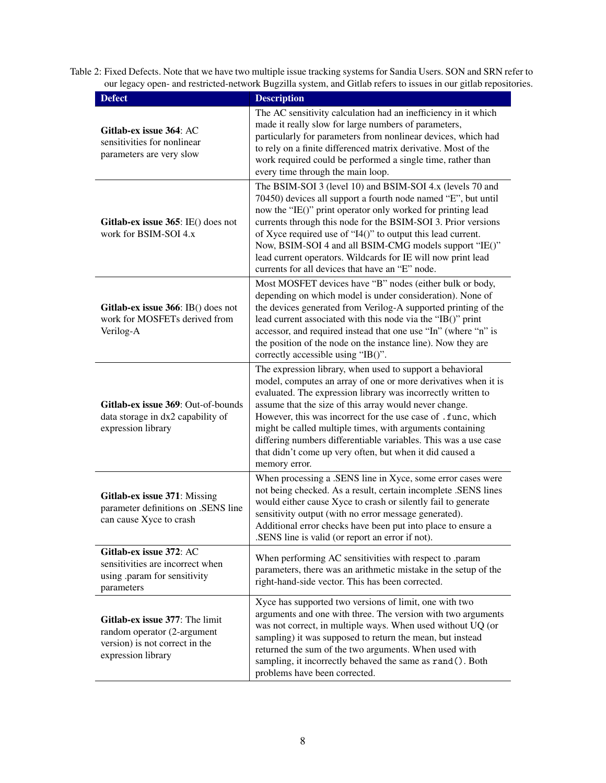| <b>Defect</b>                                                                                                         | <b>Description</b>                                                                                                                                                                                                                                                                                                                                                                                                                                                                                                                 |
|-----------------------------------------------------------------------------------------------------------------------|------------------------------------------------------------------------------------------------------------------------------------------------------------------------------------------------------------------------------------------------------------------------------------------------------------------------------------------------------------------------------------------------------------------------------------------------------------------------------------------------------------------------------------|
| Gitlab-ex issue 364: AC<br>sensitivities for nonlinear<br>parameters are very slow                                    | The AC sensitivity calculation had an inefficiency in it which<br>made it really slow for large numbers of parameters,<br>particularly for parameters from nonlinear devices, which had<br>to rely on a finite differenced matrix derivative. Most of the<br>work required could be performed a single time, rather than<br>every time through the main loop.                                                                                                                                                                      |
| Gitlab-ex issue 365: IE() does not<br>work for BSIM-SOI 4.x                                                           | The BSIM-SOI 3 (level 10) and BSIM-SOI 4.x (levels 70 and<br>70450) devices all support a fourth node named "E", but until<br>now the "IE()" print operator only worked for printing lead<br>currents through this node for the BSIM-SOI 3. Prior versions<br>of Xyce required use of "I4()" to output this lead current.<br>Now, BSIM-SOI 4 and all BSIM-CMG models support "IE()"<br>lead current operators. Wildcards for IE will now print lead<br>currents for all devices that have an "E" node.                             |
| Gitlab-ex issue 366: IB() does not<br>work for MOSFETs derived from<br>Verilog-A                                      | Most MOSFET devices have "B" nodes (either bulk or body,<br>depending on which model is under consideration). None of<br>the devices generated from Verilog-A supported printing of the<br>lead current associated with this node via the "IB()" print<br>accessor, and required instead that one use "In" (where "n" is<br>the position of the node on the instance line). Now they are<br>correctly accessible using "IB()".                                                                                                     |
| Gitlab-ex issue 369: Out-of-bounds<br>data storage in dx2 capability of<br>expression library                         | The expression library, when used to support a behavioral<br>model, computes an array of one or more derivatives when it is<br>evaluated. The expression library was incorrectly written to<br>assume that the size of this array would never change.<br>However, this was incorrect for the use case of .func, which<br>might be called multiple times, with arguments containing<br>differing numbers differentiable variables. This was a use case<br>that didn't come up very often, but when it did caused a<br>memory error. |
| Gitlab-ex issue 371: Missing<br>parameter definitions on .SENS line<br>can cause Xyce to crash                        | When processing a .SENS line in Xyce, some error cases were<br>not being checked. As a result, certain incomplete .SENS lines<br>would either cause Xyce to crash or silently fail to generate<br>sensitivity output (with no error message generated).<br>Additional error checks have been put into place to ensure a<br>.SENS line is valid (or report an error if not).                                                                                                                                                        |
| Gitlab-ex issue 372: AC<br>sensitivities are incorrect when<br>using .param for sensitivity<br>parameters             | When performing AC sensitivities with respect to .param<br>parameters, there was an arithmetic mistake in the setup of the<br>right-hand-side vector. This has been corrected.                                                                                                                                                                                                                                                                                                                                                     |
| Gitlab-ex issue 377: The limit<br>random operator (2-argument<br>version) is not correct in the<br>expression library | Xyce has supported two versions of limit, one with two<br>arguments and one with three. The version with two arguments<br>was not correct, in multiple ways. When used without UQ (or<br>sampling) it was supposed to return the mean, but instead<br>returned the sum of the two arguments. When used with<br>sampling, it incorrectly behaved the same as rand(). Both<br>problems have been corrected.                                                                                                                          |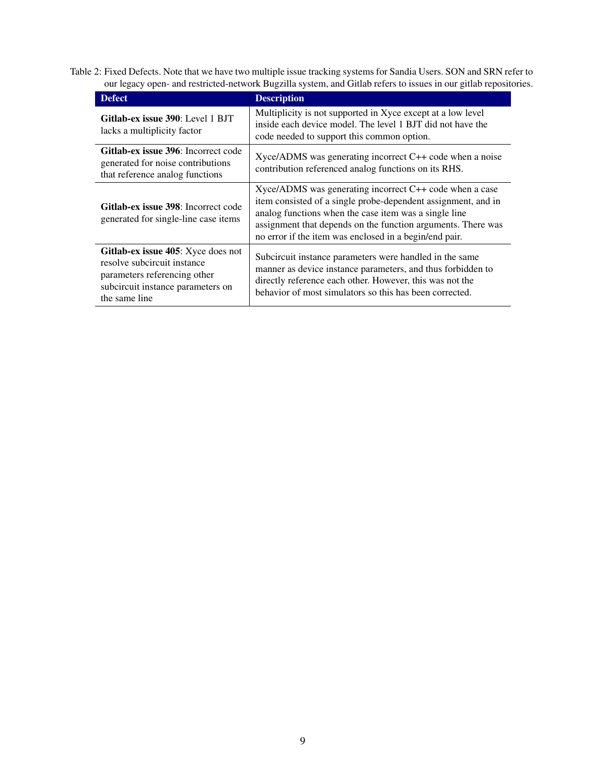| <b>Defect</b>                                                                                                                                           | <b>Description</b>                                                                                                                                                                                                                                                                                                   |
|---------------------------------------------------------------------------------------------------------------------------------------------------------|----------------------------------------------------------------------------------------------------------------------------------------------------------------------------------------------------------------------------------------------------------------------------------------------------------------------|
| Gitlab-ex issue 390: Level 1 BJT<br>lacks a multiplicity factor                                                                                         | Multiplicity is not supported in Xyce except at a low level<br>inside each device model. The level 1 BJT did not have the<br>code needed to support this common option.                                                                                                                                              |
| Gitlab-ex issue 396: Incorrect code<br>generated for noise contributions<br>that reference analog functions                                             | $Xyee/ADMS$ was generating incorrect $C++$ code when a noise<br>contribution referenced analog functions on its RHS.                                                                                                                                                                                                 |
| Gitlab-ex issue 398: Incorrect code<br>generated for single-line case items                                                                             | $X \chi$ Xyce/ADMS was generating incorrect C++ code when a case<br>item consisted of a single probe-dependent assignment, and in<br>analog functions when the case item was a single line<br>assignment that depends on the function arguments. There was<br>no error if the item was enclosed in a begin/end pair. |
| Gitlab-ex issue 405: Xyce does not<br>resolve subcircuit instance<br>parameters referencing other<br>subcircuit instance parameters on<br>the same line | Subcircuit instance parameters were handled in the same<br>manner as device instance parameters, and thus forbidden to<br>directly reference each other. However, this was not the<br>behavior of most simulators so this has been corrected.                                                                        |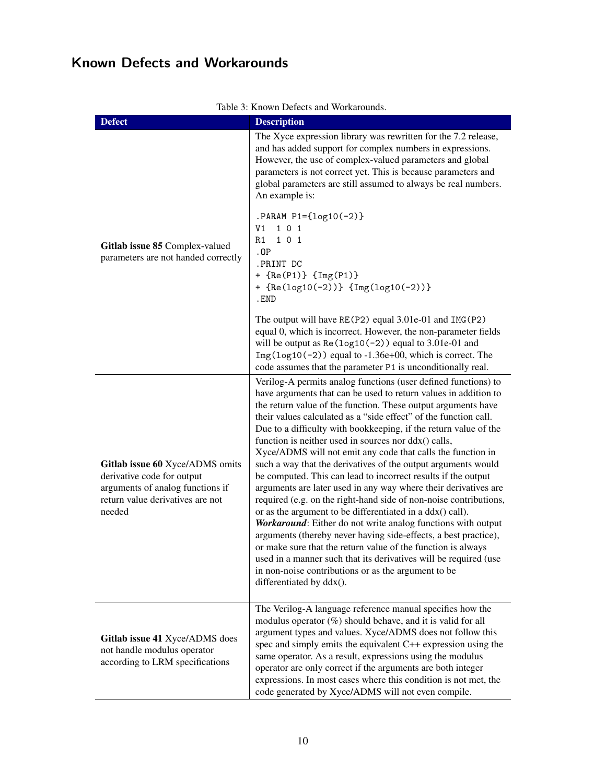# <span id="page-9-0"></span>Known Defects and Workarounds

| <u>J. KHOWII DOICCIS and WOLKALOUIR</u><br><b>Defect</b><br><b>Description</b>                                                                  |                                                                                                                                                                                                                                                                                                                                                                                                                                                                                                                                                                                                                                                                                                                                                                                                                                                                                                                                                                                                                                                                                                                                                                      |
|-------------------------------------------------------------------------------------------------------------------------------------------------|----------------------------------------------------------------------------------------------------------------------------------------------------------------------------------------------------------------------------------------------------------------------------------------------------------------------------------------------------------------------------------------------------------------------------------------------------------------------------------------------------------------------------------------------------------------------------------------------------------------------------------------------------------------------------------------------------------------------------------------------------------------------------------------------------------------------------------------------------------------------------------------------------------------------------------------------------------------------------------------------------------------------------------------------------------------------------------------------------------------------------------------------------------------------|
| Gitlab issue 85 Complex-valued<br>parameters are not handed correctly                                                                           | The Xyce expression library was rewritten for the 7.2 release,<br>and has added support for complex numbers in expressions.<br>However, the use of complex-valued parameters and global<br>parameters is not correct yet. This is because parameters and<br>global parameters are still assumed to always be real numbers.<br>An example is:                                                                                                                                                                                                                                                                                                                                                                                                                                                                                                                                                                                                                                                                                                                                                                                                                         |
|                                                                                                                                                 | $.PARAM P1 = \{log10(-2)\}$<br>V <sub>1</sub><br>1 0 1<br>R1<br>1 0 1<br>.0P<br>.PRINT DC<br>+ {Re(P1)} {Img(P1)}<br>+ {Re(log10(-2))} {Img(log10(-2))}<br>. END                                                                                                                                                                                                                                                                                                                                                                                                                                                                                                                                                                                                                                                                                                                                                                                                                                                                                                                                                                                                     |
|                                                                                                                                                 | The output will have RE(P2) equal 3.01e-01 and IMG(P2)<br>equal 0, which is incorrect. However, the non-parameter fields<br>will be output as $Re(log10(-2))$ equal to 3.01e-01 and<br>$Img(log10(-2))$ equal to -1.36e+00, which is correct. The<br>code assumes that the parameter P1 is unconditionally real.                                                                                                                                                                                                                                                                                                                                                                                                                                                                                                                                                                                                                                                                                                                                                                                                                                                     |
| Gitlab issue 60 Xyce/ADMS omits<br>derivative code for output<br>arguments of analog functions if<br>return value derivatives are not<br>needed | Verilog-A permits analog functions (user defined functions) to<br>have arguments that can be used to return values in addition to<br>the return value of the function. These output arguments have<br>their values calculated as a "side effect" of the function call.<br>Due to a difficulty with bookkeeping, if the return value of the<br>function is neither used in sources nor ddx() calls,<br>Xyce/ADMS will not emit any code that calls the function in<br>such a way that the derivatives of the output arguments would<br>be computed. This can lead to incorrect results if the output<br>arguments are later used in any way where their derivatives are<br>required (e.g. on the right-hand side of non-noise contributions,<br>or as the argument to be differentiated in a $ddx()$ call).<br>Workaround: Either do not write analog functions with output<br>arguments (thereby never having side-effects, a best practice),<br>or make sure that the return value of the function is always<br>used in a manner such that its derivatives will be required (use<br>in non-noise contributions or as the argument to be<br>differentiated by ddx(). |
| Gitlab issue 41 Xyce/ADMS does<br>not handle modulus operator<br>according to LRM specifications                                                | The Verilog-A language reference manual specifies how the<br>modulus operator $(\%)$ should behave, and it is valid for all<br>argument types and values. Xyce/ADMS does not follow this<br>spec and simply emits the equivalent C++ expression using the<br>same operator. As a result, expressions using the modulus<br>operator are only correct if the arguments are both integer<br>expressions. In most cases where this condition is not met, the<br>code generated by Xyce/ADMS will not even compile.                                                                                                                                                                                                                                                                                                                                                                                                                                                                                                                                                                                                                                                       |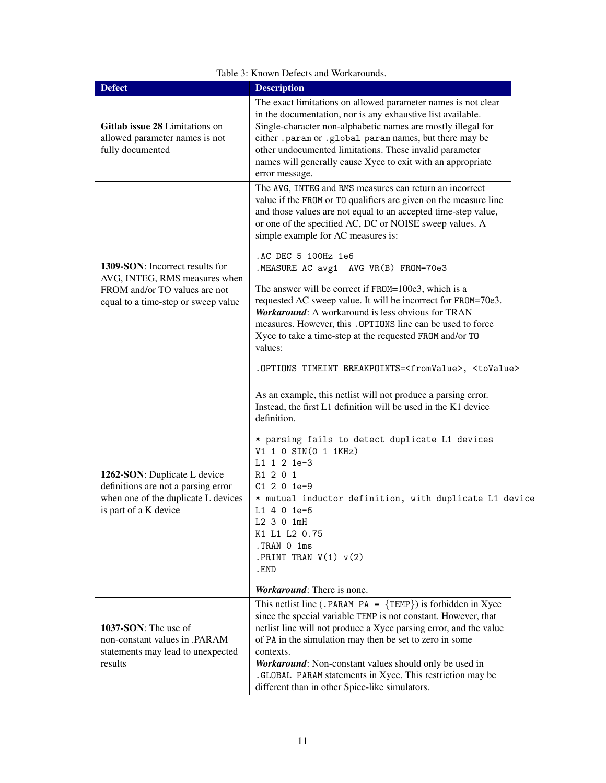| <b>Defect</b>                                                                                                                       | <b>Description</b>                                                                                                                                                                                                                                                                                                                                                                                                                                       |
|-------------------------------------------------------------------------------------------------------------------------------------|----------------------------------------------------------------------------------------------------------------------------------------------------------------------------------------------------------------------------------------------------------------------------------------------------------------------------------------------------------------------------------------------------------------------------------------------------------|
| Gitlab issue 28 Limitations on<br>allowed parameter names is not<br>fully documented                                                | The exact limitations on allowed parameter names is not clear<br>in the documentation, nor is any exhaustive list available.<br>Single-character non-alphabetic names are mostly illegal for<br>either .param or .global_param names, but there may be<br>other undocumented limitations. These invalid parameter<br>names will generally cause Xyce to exit with an appropriate<br>error message.                                                       |
|                                                                                                                                     | The AVG, INTEG and RMS measures can return an incorrect<br>value if the FROM or TO qualifiers are given on the measure line<br>and those values are not equal to an accepted time-step value,<br>or one of the specified AC, DC or NOISE sweep values. A<br>simple example for AC measures is:                                                                                                                                                           |
| 1309-SON: Incorrect results for<br>AVG, INTEG, RMS measures when                                                                    | .AC DEC 5 100Hz 1e6<br>.MEASURE AC avg1 AVG VR(B) FROM=70e3                                                                                                                                                                                                                                                                                                                                                                                              |
| FROM and/or TO values are not<br>equal to a time-step or sweep value                                                                | The answer will be correct if FROM=100e3, which is a<br>requested AC sweep value. It will be incorrect for FR0M=70e3.<br><b>Workaround:</b> A workaround is less obvious for TRAN<br>measures. However, this . OPTIONS line can be used to force<br>Xyce to take a time-step at the requested FROM and/or TO<br>values:                                                                                                                                  |
|                                                                                                                                     | .OPTIONS TIMEINT BREAKPOINTS= <fromvalue>, <tovalue></tovalue></fromvalue>                                                                                                                                                                                                                                                                                                                                                                               |
| 1262-SON: Duplicate L device<br>definitions are not a parsing error<br>when one of the duplicate L devices<br>is part of a K device | As an example, this netlist will not produce a parsing error.<br>Instead, the first L1 definition will be used in the K1 device<br>definition.                                                                                                                                                                                                                                                                                                           |
|                                                                                                                                     | * parsing fails to detect duplicate L1 devices<br>V1 1 0 SIN(0 1 1KHz)<br>L1 1 2 1e-3<br>R1 2 0 1<br>$C1201e-9$<br>* mutual inductor definition, with duplicate L1 device<br>$L1$ 4 0 1e-6<br>L2 3 0 1mH                                                                                                                                                                                                                                                 |
|                                                                                                                                     | K1 L1 L2 0.75<br>.TRAN 0 1ms<br>.PRINT TRAN $V(1)$ $v(2)$<br>. END                                                                                                                                                                                                                                                                                                                                                                                       |
|                                                                                                                                     | <i>Workaround:</i> There is none.                                                                                                                                                                                                                                                                                                                                                                                                                        |
| 1037-SON: The use of<br>non-constant values in .PARAM<br>statements may lead to unexpected<br>results                               | This netlist line (.PARAM PA = $\{TEMP\}$ ) is forbidden in Xyce<br>since the special variable TEMP is not constant. However, that<br>netlist line will not produce a Xyce parsing error, and the value<br>of PA in the simulation may then be set to zero in some<br>contexts.<br>Workaround: Non-constant values should only be used in<br>.GLOBAL PARAM statements in Xyce. This restriction may be<br>different than in other Spice-like simulators. |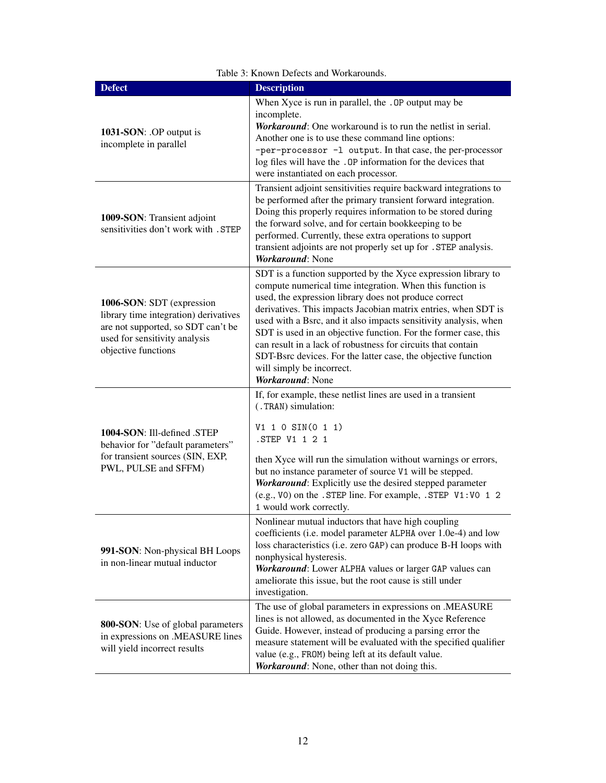| <b>Defect</b>                                                                                                                                                    | <b>Description</b>                                                                                                                                                                                                                                                                                                                                                                                                                                                                                                                                                             |
|------------------------------------------------------------------------------------------------------------------------------------------------------------------|--------------------------------------------------------------------------------------------------------------------------------------------------------------------------------------------------------------------------------------------------------------------------------------------------------------------------------------------------------------------------------------------------------------------------------------------------------------------------------------------------------------------------------------------------------------------------------|
| 1031-SON: .OP output is<br>incomplete in parallel                                                                                                                | When Xyce is run in parallel, the . OP output may be<br>incomplete.<br>Workaround: One workaround is to run the netlist in serial.<br>Another one is to use these command line options:<br>-per-processor -1 output. In that case, the per-processor<br>log files will have the . OP information for the devices that<br>were instantiated on each processor.                                                                                                                                                                                                                  |
| 1009-SON: Transient adjoint<br>sensitivities don't work with . STEP                                                                                              | Transient adjoint sensitivities require backward integrations to<br>be performed after the primary transient forward integration.<br>Doing this properly requires information to be stored during<br>the forward solve, and for certain bookkeeping to be<br>performed. Currently, these extra operations to support<br>transient adjoints are not properly set up for . STEP analysis.<br>Workaround: None                                                                                                                                                                    |
| 1006-SON: SDT (expression<br>library time integration) derivatives<br>are not supported, so SDT can't be<br>used for sensitivity analysis<br>objective functions | SDT is a function supported by the Xyce expression library to<br>compute numerical time integration. When this function is<br>used, the expression library does not produce correct<br>derivatives. This impacts Jacobian matrix entries, when SDT is<br>used with a Bsrc, and it also impacts sensitivity analysis, when<br>SDT is used in an objective function. For the former case, this<br>can result in a lack of robustness for circuits that contain<br>SDT-Bsrc devices. For the latter case, the objective function<br>will simply be incorrect.<br>Workaround: None |
| 1004-SON: Ill-defined .STEP<br>behavior for "default parameters"<br>for transient sources (SIN, EXP,<br>PWL, PULSE and SFFM)                                     | If, for example, these netlist lines are used in a transient<br>(.TRAN) simulation:<br>V1 1 0 SIN(0 1 1)<br>.STEP V1 1 2 1<br>then Xyce will run the simulation without warnings or errors,<br>but no instance parameter of source V1 will be stepped.<br>Workaround: Explicitly use the desired stepped parameter<br>(e.g., VO) on the . STEP line. For example, . STEP V1:VO 1 2<br>1 would work correctly.                                                                                                                                                                  |
| 991-SON: Non-physical BH Loops<br>in non-linear mutual inductor                                                                                                  | Nonlinear mutual inductors that have high coupling<br>coefficients (i.e. model parameter ALPHA over 1.0e-4) and low<br>loss characteristics (i.e. zero GAP) can produce B-H loops with<br>nonphysical hysteresis.<br>Workaround: Lower ALPHA values or larger GAP values can<br>ameliorate this issue, but the root cause is still under<br>investigation.                                                                                                                                                                                                                     |
| <b>800-SON</b> : Use of global parameters<br>in expressions on .MEASURE lines<br>will yield incorrect results                                                    | The use of global parameters in expressions on .MEASURE<br>lines is not allowed, as documented in the Xyce Reference<br>Guide. However, instead of producing a parsing error the<br>measure statement will be evaluated with the specified qualifier<br>value (e.g., FROM) being left at its default value.<br>Workaround: None, other than not doing this.                                                                                                                                                                                                                    |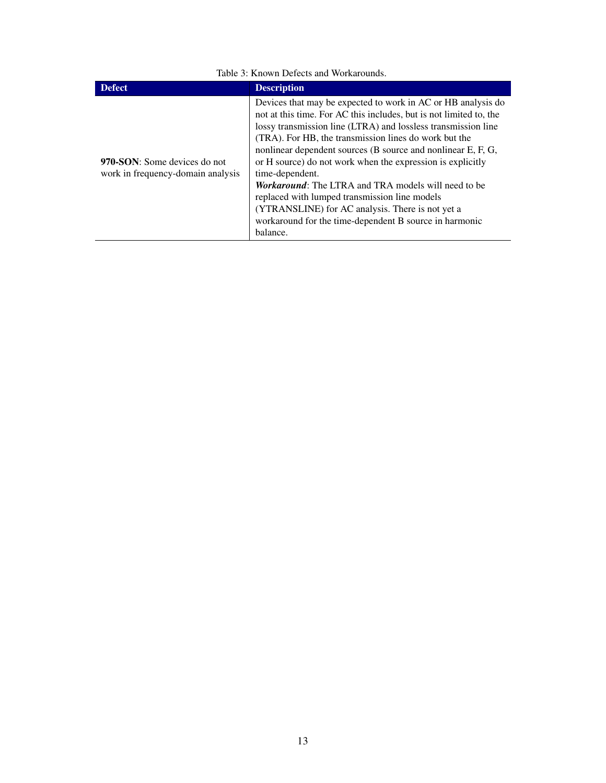| <b>Defect</b>                                                     | <b>Description</b>                                                                                                                                                                                                                                                                                                                                                                                                                                                                                                                                                                                                                                     |  |
|-------------------------------------------------------------------|--------------------------------------------------------------------------------------------------------------------------------------------------------------------------------------------------------------------------------------------------------------------------------------------------------------------------------------------------------------------------------------------------------------------------------------------------------------------------------------------------------------------------------------------------------------------------------------------------------------------------------------------------------|--|
| 970-SON: Some devices do not<br>work in frequency-domain analysis | Devices that may be expected to work in AC or HB analysis do<br>not at this time. For AC this includes, but is not limited to, the<br>lossy transmission line (LTRA) and lossless transmission line<br>(TRA). For HB, the transmission lines do work but the<br>nonlinear dependent sources (B source and nonlinear E, F, G,<br>or H source) do not work when the expression is explicitly<br>time-dependent.<br><i>Workaround:</i> The LTRA and TRA models will need to be<br>replaced with lumped transmission line models<br>(YTRANSLINE) for AC analysis. There is not yet a<br>workaround for the time-dependent B source in harmonic<br>balance. |  |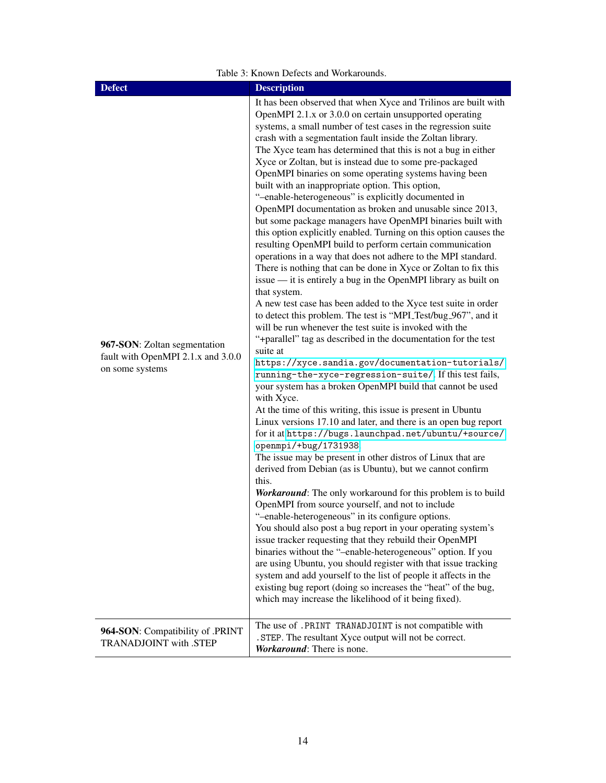| <b>Defect</b>                                                                         | <b>Description</b>                                                                                                                                                                                                                                                                                                                                                                                                                                                                                                                                                                                                                                                                                                                                                                                                                                                                                                                                                                                                                                                                                                                                                                                                                                                                                                                                                                                                                                                                                                                                                                                                                                                                                                                                                                                                                                                                                                                                                                                                                                                                                                                                                                                                                                                                                                                                                                                                                                                                                                                                                        |
|---------------------------------------------------------------------------------------|---------------------------------------------------------------------------------------------------------------------------------------------------------------------------------------------------------------------------------------------------------------------------------------------------------------------------------------------------------------------------------------------------------------------------------------------------------------------------------------------------------------------------------------------------------------------------------------------------------------------------------------------------------------------------------------------------------------------------------------------------------------------------------------------------------------------------------------------------------------------------------------------------------------------------------------------------------------------------------------------------------------------------------------------------------------------------------------------------------------------------------------------------------------------------------------------------------------------------------------------------------------------------------------------------------------------------------------------------------------------------------------------------------------------------------------------------------------------------------------------------------------------------------------------------------------------------------------------------------------------------------------------------------------------------------------------------------------------------------------------------------------------------------------------------------------------------------------------------------------------------------------------------------------------------------------------------------------------------------------------------------------------------------------------------------------------------------------------------------------------------------------------------------------------------------------------------------------------------------------------------------------------------------------------------------------------------------------------------------------------------------------------------------------------------------------------------------------------------------------------------------------------------------------------------------------------------|
| 967-SON: Zoltan segmentation<br>fault with OpenMPI 2.1.x and 3.0.0<br>on some systems | It has been observed that when Xyce and Trilinos are built with<br>OpenMPI 2.1.x or 3.0.0 on certain unsupported operating<br>systems, a small number of test cases in the regression suite<br>crash with a segmentation fault inside the Zoltan library.<br>The Xyce team has determined that this is not a bug in either<br>Xyce or Zoltan, but is instead due to some pre-packaged<br>OpenMPI binaries on some operating systems having been<br>built with an inappropriate option. This option,<br>"-enable-heterogeneous" is explicitly documented in<br>OpenMPI documentation as broken and unusable since 2013,<br>but some package managers have OpenMPI binaries built with<br>this option explicitly enabled. Turning on this option causes the<br>resulting OpenMPI build to perform certain communication<br>operations in a way that does not adhere to the MPI standard.<br>There is nothing that can be done in Xyce or Zoltan to fix this<br>issue — it is entirely a bug in the OpenMPI library as built on<br>that system.<br>A new test case has been added to the Xyce test suite in order<br>to detect this problem. The test is "MPI_Test/bug_967", and it<br>will be run whenever the test suite is invoked with the<br>"+parallel" tag as described in the documentation for the test<br>suite at<br>https://xyce.sandia.gov/documentation-tutorials/<br>running-the-xyce-regression-suite/. If this test fails,<br>your system has a broken OpenMPI build that cannot be used<br>with Xyce.<br>At the time of this writing, this issue is present in Ubuntu<br>Linux versions 17.10 and later, and there is an open bug report<br>for it at https://bugs.launchpad.net/ubuntu/+source/<br>openmpi/+bug/1731938.<br>The issue may be present in other distros of Linux that are<br>derived from Debian (as is Ubuntu), but we cannot confirm<br>this.<br>Workaround: The only workaround for this problem is to build<br>OpenMPI from source yourself, and not to include<br>"-enable-heterogeneous" in its configure options.<br>You should also post a bug report in your operating system's<br>issue tracker requesting that they rebuild their OpenMPI<br>binaries without the "-enable-heterogeneous" option. If you<br>are using Ubuntu, you should register with that issue tracking<br>system and add yourself to the list of people it affects in the<br>existing bug report (doing so increases the "heat" of the bug,<br>which may increase the likelihood of it being fixed).<br>The use of .PRINT TRANADJOINT is not compatible with |
| 964-SON: Compatibility of .PRINT<br>TRANADJOINT with .STEP                            | . STEP. The resultant Xyce output will not be correct.<br>Workaround: There is none.                                                                                                                                                                                                                                                                                                                                                                                                                                                                                                                                                                                                                                                                                                                                                                                                                                                                                                                                                                                                                                                                                                                                                                                                                                                                                                                                                                                                                                                                                                                                                                                                                                                                                                                                                                                                                                                                                                                                                                                                                                                                                                                                                                                                                                                                                                                                                                                                                                                                                      |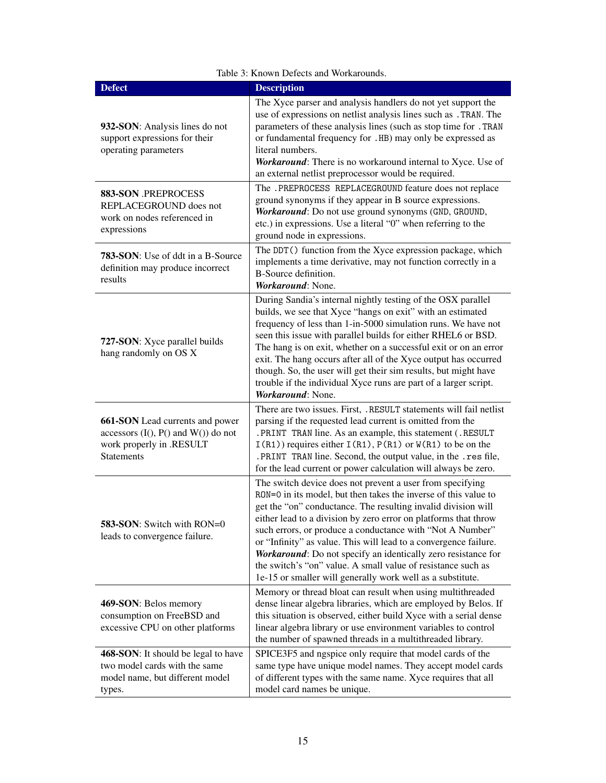| <b>Defect</b>                                                                                                              | <b>Description</b>                                                                                                                                                                                                                                                                                                                                                                                                                                                                                                                                                                               |
|----------------------------------------------------------------------------------------------------------------------------|--------------------------------------------------------------------------------------------------------------------------------------------------------------------------------------------------------------------------------------------------------------------------------------------------------------------------------------------------------------------------------------------------------------------------------------------------------------------------------------------------------------------------------------------------------------------------------------------------|
| 932-SON: Analysis lines do not<br>support expressions for their<br>operating parameters                                    | The Xyce parser and analysis handlers do not yet support the<br>use of expressions on netlist analysis lines such as . TRAN. The<br>parameters of these analysis lines (such as stop time for . TRAN<br>or fundamental frequency for .HB) may only be expressed as<br>literal numbers.<br>Workaround: There is no workaround internal to Xyce. Use of<br>an external netlist preprocessor would be required.                                                                                                                                                                                     |
| 883-SON .PREPROCESS<br>REPLACEGROUND does not<br>work on nodes referenced in<br>expressions                                | The .PREPROCESS REPLACEGROUND feature does not replace<br>ground synonyms if they appear in B source expressions.<br>Workaround: Do not use ground synonyms (GND, GROUND,<br>etc.) in expressions. Use a literal "0" when referring to the<br>ground node in expressions.                                                                                                                                                                                                                                                                                                                        |
| <b>783-SON:</b> Use of ddt in a B-Source<br>definition may produce incorrect<br>results                                    | The DDT() function from the Xyce expression package, which<br>implements a time derivative, may not function correctly in a<br><b>B-Source definition.</b><br>Workaround: None.                                                                                                                                                                                                                                                                                                                                                                                                                  |
| 727-SON: Xyce parallel builds<br>hang randomly on OS X                                                                     | During Sandia's internal nightly testing of the OSX parallel<br>builds, we see that Xyce "hangs on exit" with an estimated<br>frequency of less than 1-in-5000 simulation runs. We have not<br>seen this issue with parallel builds for either RHEL6 or BSD.<br>The hang is on exit, whether on a successful exit or on an error<br>exit. The hang occurs after all of the Xyce output has occurred<br>though. So, the user will get their sim results, but might have<br>trouble if the individual Xyce runs are part of a larger script.<br>Workaround: None.                                  |
| 661-SON Lead currents and power<br>accessors $(I(), P()$ and $W()$ do not<br>work properly in .RESULT<br><b>Statements</b> | There are two issues. First, .RESULT statements will fail netlist<br>parsing if the requested lead current is omitted from the<br>. PRINT TRAN line. As an example, this statement (.RESULT<br>$I(R1)$ ) requires either $I(R1)$ , $P(R1)$ or $W(R1)$ to be on the<br>.PRINT TRAN line. Second, the output value, in the .res file,<br>for the lead current or power calculation will always be zero.                                                                                                                                                                                            |
| 583-SON: Switch with RON=0<br>leads to convergence failure.                                                                | The switch device does not prevent a user from specifying<br>RON=0 in its model, but then takes the inverse of this value to<br>get the "on" conductance. The resulting invalid division will<br>either lead to a division by zero error on platforms that throw<br>such errors, or produce a conductance with "Not A Number"<br>or "Infinity" as value. This will lead to a convergence failure.<br>Workaround: Do not specify an identically zero resistance for<br>the switch's "on" value. A small value of resistance such as<br>1e-15 or smaller will generally work well as a substitute. |
| 469-SON: Belos memory<br>consumption on FreeBSD and<br>excessive CPU on other platforms                                    | Memory or thread bloat can result when using multithreaded<br>dense linear algebra libraries, which are employed by Belos. If<br>this situation is observed, either build Xyce with a serial dense<br>linear algebra library or use environment variables to control<br>the number of spawned threads in a multithreaded library.                                                                                                                                                                                                                                                                |
| 468-SON: It should be legal to have<br>two model cards with the same<br>model name, but different model<br>types.          | SPICE3F5 and ngspice only require that model cards of the<br>same type have unique model names. They accept model cards<br>of different types with the same name. Xyce requires that all<br>model card names be unique.                                                                                                                                                                                                                                                                                                                                                                          |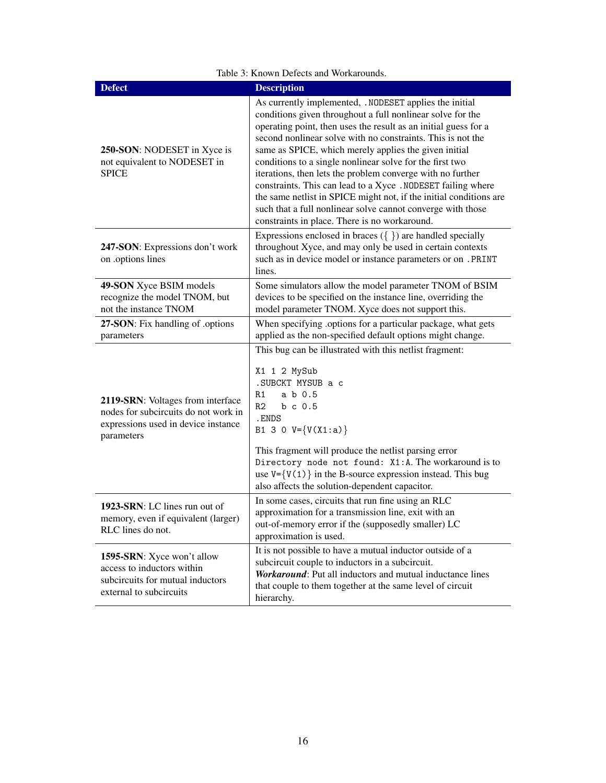| <b>Defect</b>                                                                                                                  | <b>Description</b>                                                                                                                                                                                                                                                                                                                                                                                                                                                                                                                                                                                                                                                                             |
|--------------------------------------------------------------------------------------------------------------------------------|------------------------------------------------------------------------------------------------------------------------------------------------------------------------------------------------------------------------------------------------------------------------------------------------------------------------------------------------------------------------------------------------------------------------------------------------------------------------------------------------------------------------------------------------------------------------------------------------------------------------------------------------------------------------------------------------|
| 250-SON: NODESET in Xyce is<br>not equivalent to NODESET in<br><b>SPICE</b>                                                    | As currently implemented, .NODESET applies the initial<br>conditions given throughout a full nonlinear solve for the<br>operating point, then uses the result as an initial guess for a<br>second nonlinear solve with no constraints. This is not the<br>same as SPICE, which merely applies the given initial<br>conditions to a single nonlinear solve for the first two<br>iterations, then lets the problem converge with no further<br>constraints. This can lead to a Xyce. NODESET failing where<br>the same netlist in SPICE might not, if the initial conditions are<br>such that a full nonlinear solve cannot converge with those<br>constraints in place. There is no workaround. |
| 247-SON: Expressions don't work<br>on .options lines                                                                           | Expressions enclosed in braces $({\{\})$ are handled specially<br>throughout Xyce, and may only be used in certain contexts<br>such as in device model or instance parameters or on . PRINT<br>lines.                                                                                                                                                                                                                                                                                                                                                                                                                                                                                          |
| 49-SON Xyce BSIM models<br>recognize the model TNOM, but<br>not the instance TNOM                                              | Some simulators allow the model parameter TNOM of BSIM<br>devices to be specified on the instance line, overriding the<br>model parameter TNOM. Xyce does not support this.                                                                                                                                                                                                                                                                                                                                                                                                                                                                                                                    |
| 27-SON: Fix handling of .options<br>parameters                                                                                 | When specifying .options for a particular package, what gets<br>applied as the non-specified default options might change.                                                                                                                                                                                                                                                                                                                                                                                                                                                                                                                                                                     |
| 2119-SRN: Voltages from interface<br>nodes for subcircuits do not work in<br>expressions used in device instance<br>parameters | This bug can be illustrated with this netlist fragment:<br>X1 1 2 MySub<br>.SUBCKT MYSUB a c<br>R1<br>a b 0.5<br>R <sub>2</sub><br>$b \, c \, 0.5$<br>.ENDS<br>B1 3 0 $V = \{V(X1 : a)\}$<br>This fragment will produce the netlist parsing error<br>Directory node not found: X1:A. The workaround is to<br>use $V = \{V(1)\}\$ in the B-source expression instead. This bug<br>also affects the solution-dependent capacitor.                                                                                                                                                                                                                                                                |
| 1923-SRN: LC lines run out of<br>memory, even if equivalent (larger)<br>RLC lines do not.                                      | In some cases, circuits that run fine using an RLC<br>approximation for a transmission line, exit with an<br>out-of-memory error if the (supposedly smaller) LC<br>approximation is used.                                                                                                                                                                                                                                                                                                                                                                                                                                                                                                      |
| 1595-SRN: Xyce won't allow<br>access to inductors within<br>subcircuits for mutual inductors<br>external to subcircuits        | It is not possible to have a mutual inductor outside of a<br>subcircuit couple to inductors in a subcircuit.<br><b>Workaround:</b> Put all inductors and mutual inductance lines<br>that couple to them together at the same level of circuit<br>hierarchy.                                                                                                                                                                                                                                                                                                                                                                                                                                    |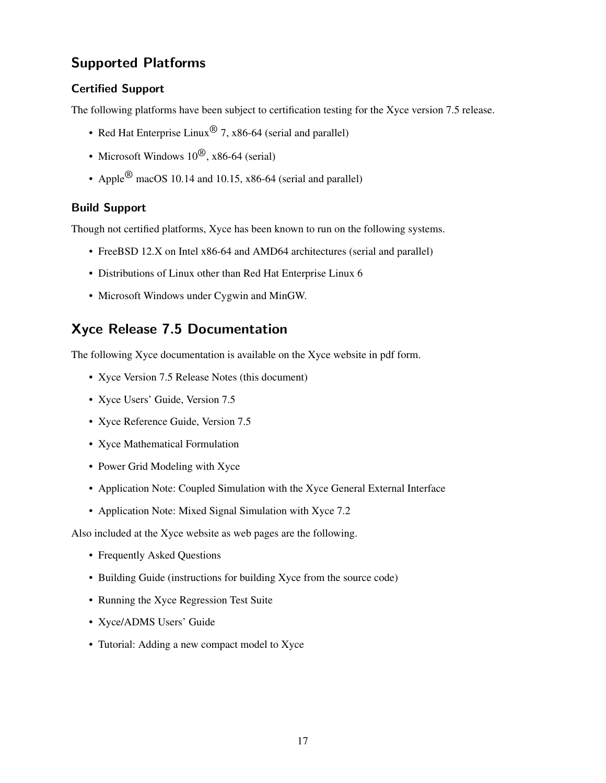### <span id="page-16-0"></span>Supported Platforms

#### Certified Support

The following platforms have been subject to certification testing for the Xyce version 7.5 release.

- Red Hat Enterprise Linux<sup>®</sup> 7, x86-64 (serial and parallel)
- Microsoft Windows  $10^{(8)}$ , x86-64 (serial)
- Apple<sup>®</sup> macOS 10.14 and 10.15, x86-64 (serial and parallel)

#### Build Support

Though not certified platforms, Xyce has been known to run on the following systems.

- FreeBSD 12.X on Intel x86-64 and AMD64 architectures (serial and parallel)
- Distributions of Linux other than Red Hat Enterprise Linux 6
- Microsoft Windows under Cygwin and MinGW.

## <span id="page-16-1"></span>Xyce Release 7.5 Documentation

The following Xyce documentation is available on the Xyce website in pdf form.

- Xyce Version 7.5 Release Notes (this document)
- Xyce Users' Guide, Version 7.5
- Xyce Reference Guide, Version 7.5
- Xyce Mathematical Formulation
- Power Grid Modeling with Xyce
- Application Note: Coupled Simulation with the Xyce General External Interface
- Application Note: Mixed Signal Simulation with Xyce 7.2

Also included at the Xyce website as web pages are the following.

- Frequently Asked Questions
- Building Guide (instructions for building Xyce from the source code)
- Running the Xyce Regression Test Suite
- Xyce/ADMS Users' Guide
- Tutorial: Adding a new compact model to Xyce